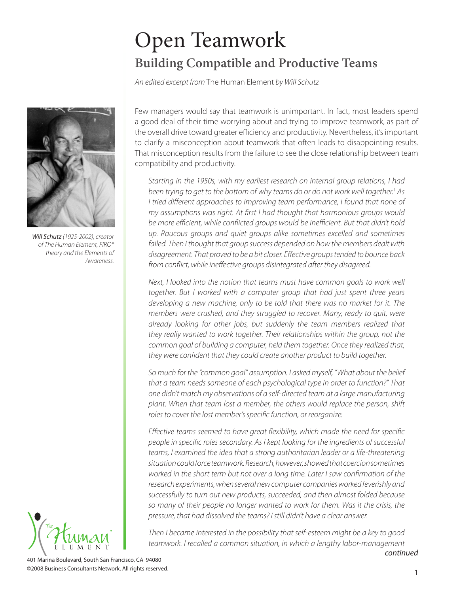# Open Teamwork **Building Compatible and Productive Teams**

An edited excerpt from The Human Element by Will Schutz



Will Schutz (1925-2002), creator of The Human Element, FIRO® theory and the Elements of Awareness.



Few managers would say that teamwork is unimportant. In fact, most leaders spend a good deal of their time worrying about and trying to improve teamwork, as part of the overall drive toward greater efficiency and productivity. Nevertheless, it's important to clarify a misconception about teamwork that often leads to disappointing results. That misconception results from the failure to see the close relationship between team compatibility and productivity.

Starting in the 1950s, with my earliest research on internal group relations, I had been trying to get to the bottom of why teams do or do not work well together. <sup>1</sup> As I tried different approaches to improving team performance, I found that none of my assumptions was right. At first I had thought that harmonious groups would be more efficient, while conflicted groups would be inefficient. But that didn't hold up. Raucous groups and quiet groups alike sometimes excelled and sometimes failed. Then I thought that group success depended on how the members dealt with disagreement. That proved to be a bit closer. Effective groups tended to bounce back from conflict, while ineffective groups disintegrated after they disagreed.

Next, I looked into the notion that teams must have common goals to work well together. But I worked with a computer group that had just spent three years developing a new machine, only to be told that there was no market for it. The members were crushed, and they struggled to recover. Many, ready to quit, were already looking for other jobs, but suddenly the team members realized that they really wanted to work together. Their relationships within the group, not the common goal of building a computer, held them together. Once they realized that, they were confident that they could create another product to build together.

So much for the "common goal" assumption. I asked myself, "What about the belief that a team needs someone of each psychological type in order to function?" That one didn't match my observations of a self-directed team at a large manufacturing plant. When that team lost a member, the others would replace the person, shift roles to cover the lost member's specific function, or reorganize.

Effective teams seemed to have great flexibility, which made the need for specific people in specific roles secondary. As I kept looking for the ingredients of successful teams, I examined the idea that a strong authoritarian leader or a life-threatening situation could force teamwork. Research, however, showed that coercion sometimes worked in the short term but not over a long time. Later I saw confirmation of the research experiments, when several new computer companies worked feverishly and successfully to turn out new products, succeeded, and then almost folded because so many of their people no longer wanted to work for them. Was it the crisis, the pressure, that had dissolved the teams? I still didn't have a clear answer.

Then I became interested in the possibility that self-esteem might be a key to good teamwork. I recalled a common situation, in which a lengthy labor-management

continued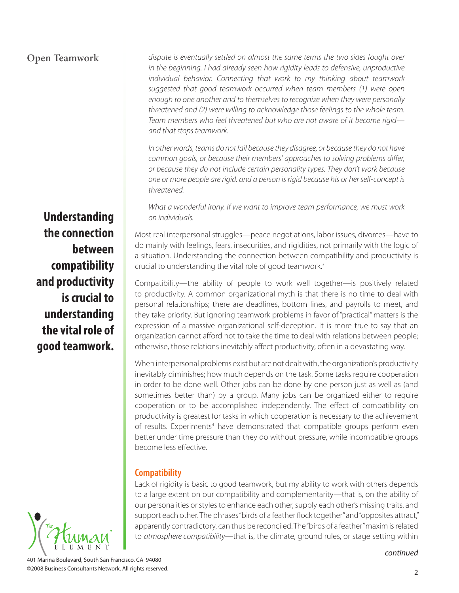# **Open Teamwork**

dispute is eventually settled on almost the same terms the two sides fought over in the beginning. I had already seen how rigidity leads to defensive, unproductive individual behavior. Connecting that work to my thinking about teamwork suggested that good teamwork occurred when team members (1) were open enough to one another and to themselves to recognize when they were personally threatened and (2) were willing to acknowledge those feelings to the whole team. Team members who feel threatened but who are not aware of it become rigid and that stops teamwork.

In other words, teams do not fail because they disagree, or because they do not have common goals, or because their members' approaches to solving problems differ, or because they do not include certain personality types. They don't work because one or more people are rigid, and a person is rigid because his or her self-concept is threatened.

What a wonderful irony. If we want to improve team performance, we must work on individuals.

Most real interpersonal struggles—peace negotiations, labor issues, divorces—have to do mainly with feelings, fears, insecurities, and rigidities, not primarily with the logic of a situation. Understanding the connection between compatibility and productivity is crucial to understanding the vital role of good teamwork. 3

Compatibility—the ability of people to work well together—is positively related to productivity. A common organizational myth is that there is no time to deal with personal relationships; there are deadlines, bottom lines, and payrolls to meet, and they take priority. But ignoring teamwork problems in favor of "practical" matters is the expression of a massive organizational self-deception. It is more true to say that an organization cannot afford not to take the time to deal with relations between people; otherwise, those relations inevitably affect productivity, often in a devastating way.

When interpersonal problems exist but are not dealt with, the organization's productivity inevitably diminishes; how much depends on the task. Some tasks require cooperation in order to be done well. Other jobs can be done by one person just as well as (and sometimes better than) by a group. Many jobs can be organized either to require cooperation or to be accomplished independently. The effect of compatibility on productivity is greatest for tasks in which cooperation is necessary to the achievement of results. Experiments<sup>4</sup> have demonstrated that compatible groups perform even better under time pressure than they do without pressure, while incompatible groups become less effective.

### **Compatibility**

Lack of rigidity is basic to good teamwork, but my ability to work with others depends to a large extent on our compatibility and complementarity—that is, on the ability of our personalities or styles to enhance each other, supply each other's missing traits, and support each other. The phrases "birds of a feather flock together" and "opposites attract," apparently contradictory, can thus be reconciled. The "birds of a feather"maxim is related to atmosphere compatibility—that is, the climate, ground rules, or stage setting within

**Understanding the connection between compatibility and productivity is crucial to understanding the vital role of good teamwork.**

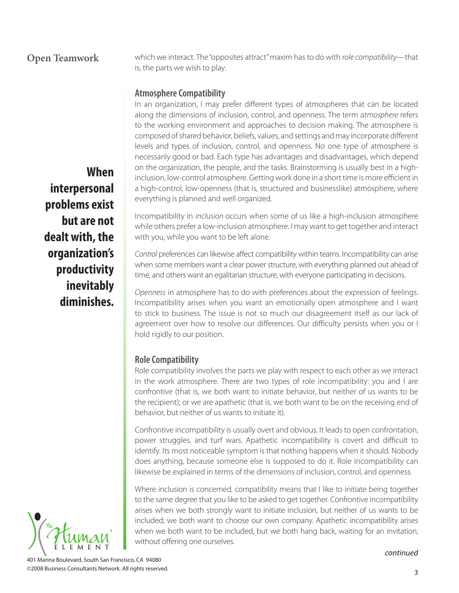# **Open Teamwork**

which we interact. The "opposites attract" maxim has to do with role compatibility—that is, the parts we wish to play.

# **Atmosphere Compatibility**

In an organization, I may prefer different types of atmospheres that can be located along the dimensions of inclusion, control, and openness. The term atmosphere refers to the working environment and approaches to decision making. The atmosphere is composed of shared behavior, beliefs, values, and settings and may incorporate different levels and types of inclusion, control, and openness. No one type of atmosphere is necessarily good or bad. Each type has advantages and disadvantages, which depend on the organization, the people, and the tasks. Brainstorming is usually best in a highinclusion, low-control atmosphere. Getting work done in a short time is more efficient in a high-control, low-openness (that is, structured and businesslike) atmosphere, where everything is planned and well organized.

Incompatibility in inclusion occurs when some of us like a high-inclusion atmosphere while others prefer a low-inclusion atmosphere. I may want to get together and interact with you, while you want to be left alone.

Control preferences can likewise affect compatibility within teams. Incompatibility can arise when some members want a clear power structure, with everything planned out ahead of time, and others want an egalitarian structure, with everyone participating in decisions.

Openness in atmosphere has to do with preferences about the expression of feelings. Incompatibility arises when you want an emotionally open atmosphere and I want to stick to business. The issue is not so much our disagreement itself as our lack of agreement over how to resolve our differences. Our difficulty persists when you or I hold rigidly to our position.

## **Role Compatibility**

Role compatibility involves the parts we play with respect to each other as we interact in the work atmosphere. There are two types of role incompatibility: you and I are confrontive (that is, we both want to initiate behavior, but neither of us wants to be the recipient); or we are apathetic (that is, we both want to be on the receiving end of behavior, but neither of us wants to initiate it).

Confrontive incompatibility is usually overt and obvious. It leads to open confrontation, power struggles, and turf wars. Apathetic incompatibility is covert and difficult to identify. Its most noticeable symptom is that nothing happens when it should. Nobody does anything, because someone else is supposed to do it. Role incompatibility can likewise be explained in terms of the dimensions of inclusion, control, and openness.

Where inclusion is concerned, compatibility means that I like to initiate being together to the same degree that you like to be asked to get together. Confrontive incompatibility arises when we both strongly want to initiate inclusion, but neither of us wants to be included; we both want to choose our own company. Apathetic incompatibility arises when we both want to be included, but we both hang back, waiting for an invitation, without offering one ourselves.

#### continued

**When interpersonal problems exist but are not dealt with, the organization's productivity inevitably diminishes.**

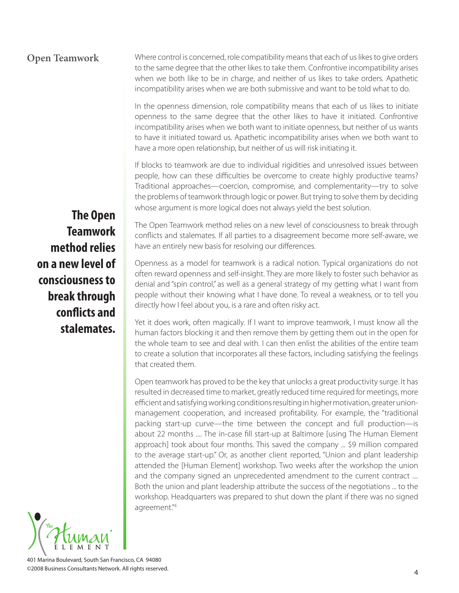#### Where control is concerned, role compatibility means that each of us likes to give orders to the same degree that the other likes to take them. Confrontive incompatibility arises when we both like to be in charge, and neither of us likes to take orders. Apathetic incompatibility arises when we are both submissive and want to be told what to do. **Open Teamwork**

In the openness dimension, role compatibility means that each of us likes to initiate openness to the same degree that the other likes to have it initiated. Confrontive incompatibility arises when we both want to initiate openness, but neither of us wants to have it initiated toward us. Apathetic incompatibility arises when we both want to have a more open relationship, but neither of us will risk initiating it.

If blocks to teamwork are due to individual rigidities and unresolved issues between people, how can these difficulties be overcome to create highly productive teams? Traditional approaches—coercion, compromise, and complementarity—try to solve the problems of teamwork through logic or power. But trying to solve them by deciding whose argument is more logical does not always yield the best solution.

**The Open Teamwork method relies on a new level of consciousness to break through**  conflicts and **stalemates.**

The Open Teamwork method relies on a new level of consciousness to break through conflicts and stalemates. If all parties to a disagreement become more self-aware, we have an entirely new basis for resolving our differences.

Openness as a model for teamwork is a radical notion. Typical organizations do not often reward openness and self-insight. They are more likely to foster such behavior as denial and "spin control," as well as a general strategy of my getting what I want from people without their knowing what I have done. To reveal a weakness, or to tell you directly how I feel about you, is a rare and often risky act.

Yet it does work, often magically. If I want to improve teamwork, I must know all the human factors blocking it and then remove them by getting them out in the open for the whole team to see and deal with. I can then enlist the abilities of the entire team to create a solution that incorporates all these factors, including satisfying the feelings that created them.

Open teamwork has proved to be the key that unlocks a great productivity surge. It has resulted in decreased time to market, greatly reduced time required for meetings, more efficient and satisfying working conditions resulting in higher motivation, greater unionmanagement cooperation, and increased profitability. For example, the "traditional packing start-up curve—the time between the concept and full production—is about 22 months .... The in-case fill start-up at Baltimore [using The Human Element approach] took about four months. This saved the company ... \$9 million compared to the average start-up." Or, as another client reported, "Union and plant leadership attended the [Human Element] workshop. Two weeks after the workshop the union and the company signed an unprecedented amendment to the current contract .... Both the union and plant leadership attribute the success of the negotiations ... to the workshop. Headquarters was prepared to shut down the plant if there was no signed agreement." 4